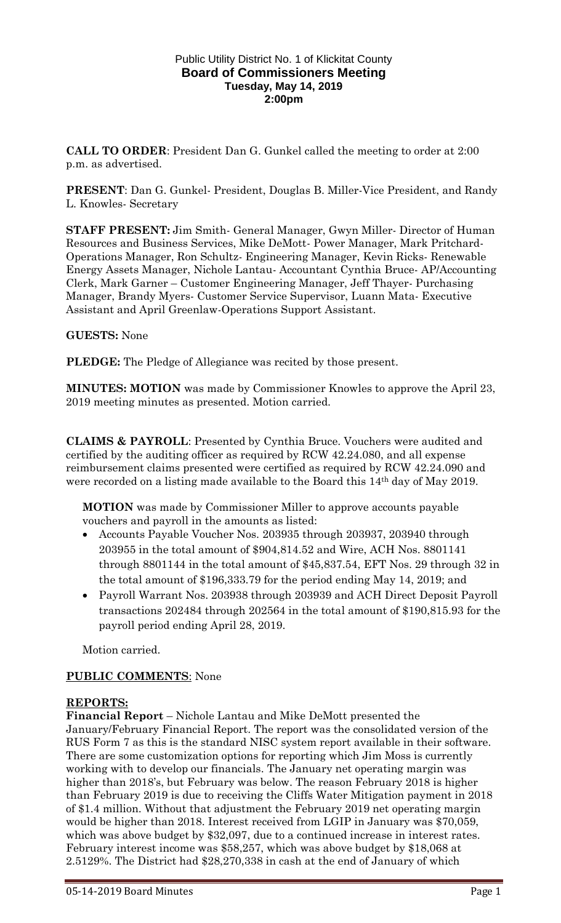### Public Utility District No. 1 of Klickitat County **Board of Commissioners Meeting Tuesday, May 14, 2019 2:00pm**

**CALL TO ORDER**: President Dan G. Gunkel called the meeting to order at 2:00 p.m. as advertised.

**PRESENT**: Dan G. Gunkel- President, Douglas B. Miller-Vice President, and Randy L. Knowles- Secretary

**STAFF PRESENT:** Jim Smith- General Manager, Gwyn Miller- Director of Human Resources and Business Services, Mike DeMott- Power Manager, Mark Pritchard-Operations Manager, Ron Schultz- Engineering Manager, Kevin Ricks- Renewable Energy Assets Manager, Nichole Lantau- Accountant Cynthia Bruce- AP/Accounting Clerk, Mark Garner – Customer Engineering Manager, Jeff Thayer- Purchasing Manager, Brandy Myers- Customer Service Supervisor, Luann Mata- Executive Assistant and April Greenlaw-Operations Support Assistant.

### **GUESTS:** None

**PLEDGE:** The Pledge of Allegiance was recited by those present.

**MINUTES: MOTION** was made by Commissioner Knowles to approve the April 23, 2019 meeting minutes as presented. Motion carried.

**CLAIMS & PAYROLL**: Presented by Cynthia Bruce. Vouchers were audited and certified by the auditing officer as required by RCW 42.24.080, and all expense reimbursement claims presented were certified as required by RCW 42.24.090 and were recorded on a listing made available to the Board this 14th day of May 2019.

**MOTION** was made by Commissioner Miller to approve accounts payable vouchers and payroll in the amounts as listed:

- Accounts Payable Voucher Nos. 203935 through 203937, 203940 through 203955 in the total amount of \$904,814.52 and Wire, ACH Nos. 8801141 through 8801144 in the total amount of \$45,837.54, EFT Nos. 29 through 32 in the total amount of \$196,333.79 for the period ending May 14, 2019; and
- Payroll Warrant Nos. 203938 through 203939 and ACH Direct Deposit Payroll transactions 202484 through 202564 in the total amount of \$190,815.93 for the payroll period ending April 28, 2019.

Motion carried.

### **PUBLIC COMMENTS**: None

### **REPORTS:**

**Financial Report** – Nichole Lantau and Mike DeMott presented the January/February Financial Report. The report was the consolidated version of the RUS Form 7 as this is the standard NISC system report available in their software. There are some customization options for reporting which Jim Moss is currently working with to develop our financials. The January net operating margin was higher than 2018's, but February was below. The reason February 2018 is higher than February 2019 is due to receiving the Cliffs Water Mitigation payment in 2018 of \$1.4 million. Without that adjustment the February 2019 net operating margin would be higher than 2018. Interest received from LGIP in January was \$70,059, which was above budget by \$32,097, due to a continued increase in interest rates. February interest income was \$58,257, which was above budget by \$18,068 at 2.5129%. The District had \$28,270,338 in cash at the end of January of which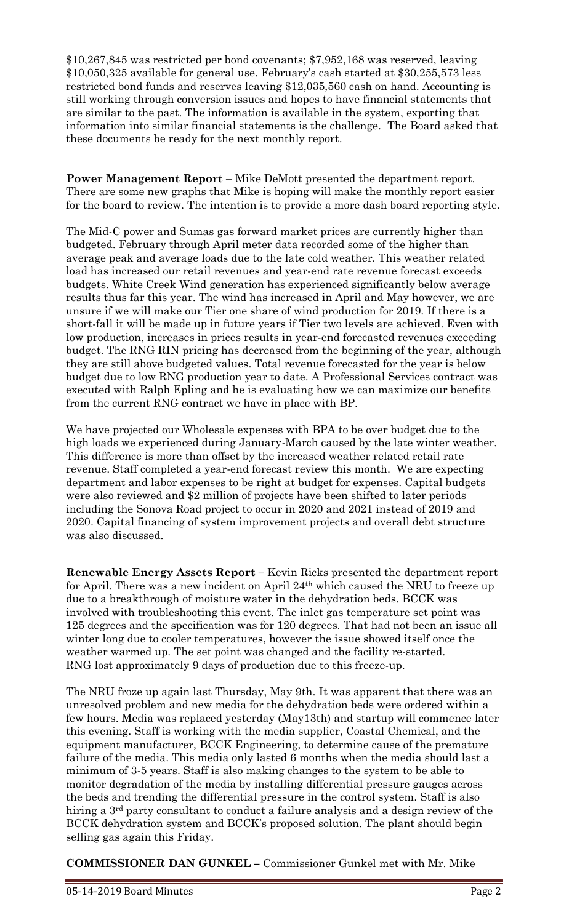\$10,267,845 was restricted per bond covenants; \$7,952,168 was reserved, leaving \$10,050,325 available for general use. February's cash started at \$30,255,573 less restricted bond funds and reserves leaving \$12,035,560 cash on hand. Accounting is still working through conversion issues and hopes to have financial statements that are similar to the past. The information is available in the system, exporting that information into similar financial statements is the challenge. The Board asked that these documents be ready for the next monthly report.

**Power Management Report** – Mike DeMott presented the department report. There are some new graphs that Mike is hoping will make the monthly report easier for the board to review. The intention is to provide a more dash board reporting style.

The Mid-C power and Sumas gas forward market prices are currently higher than budgeted. February through April meter data recorded some of the higher than average peak and average loads due to the late cold weather. This weather related load has increased our retail revenues and year-end rate revenue forecast exceeds budgets. White Creek Wind generation has experienced significantly below average results thus far this year. The wind has increased in April and May however, we are unsure if we will make our Tier one share of wind production for 2019. If there is a short-fall it will be made up in future years if Tier two levels are achieved. Even with low production, increases in prices results in year-end forecasted revenues exceeding budget. The RNG RIN pricing has decreased from the beginning of the year, although they are still above budgeted values. Total revenue forecasted for the year is below budget due to low RNG production year to date. A Professional Services contract was executed with Ralph Epling and he is evaluating how we can maximize our benefits from the current RNG contract we have in place with BP.

We have projected our Wholesale expenses with BPA to be over budget due to the high loads we experienced during January-March caused by the late winter weather. This difference is more than offset by the increased weather related retail rate revenue. Staff completed a year-end forecast review this month. We are expecting department and labor expenses to be right at budget for expenses. Capital budgets were also reviewed and \$2 million of projects have been shifted to later periods including the Sonova Road project to occur in 2020 and 2021 instead of 2019 and 2020. Capital financing of system improvement projects and overall debt structure was also discussed.

**Renewable Energy Assets Report –** Kevin Ricks presented the department report for April. There was a new incident on April 24th which caused the NRU to freeze up due to a breakthrough of moisture water in the dehydration beds. BCCK was involved with troubleshooting this event. The inlet gas temperature set point was 125 degrees and the specification was for 120 degrees. That had not been an issue all winter long due to cooler temperatures, however the issue showed itself once the weather warmed up. The set point was changed and the facility re-started. RNG lost approximately 9 days of production due to this freeze-up.

The NRU froze up again last Thursday, May 9th. It was apparent that there was an unresolved problem and new media for the dehydration beds were ordered within a few hours. Media was replaced yesterday (May13th) and startup will commence later this evening. Staff is working with the media supplier, Coastal Chemical, and the equipment manufacturer, BCCK Engineering, to determine cause of the premature failure of the media. This media only lasted 6 months when the media should last a minimum of 3-5 years. Staff is also making changes to the system to be able to monitor degradation of the media by installing differential pressure gauges across the beds and trending the differential pressure in the control system. Staff is also hiring a 3rd party consultant to conduct a failure analysis and a design review of the BCCK dehydration system and BCCK's proposed solution. The plant should begin selling gas again this Friday.

**COMMISSIONER DAN GUNKEL –** Commissioner Gunkel met with Mr. Mike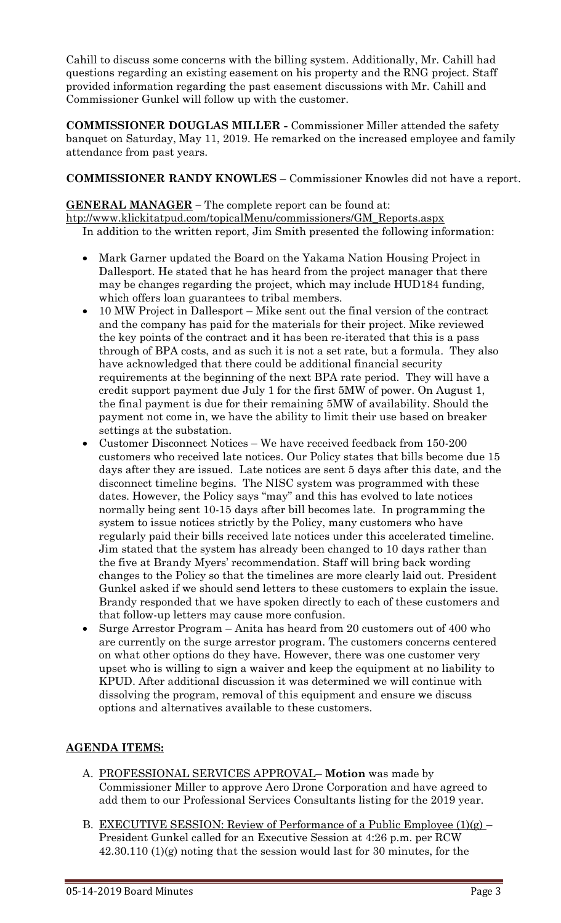Cahill to discuss some concerns with the billing system. Additionally, Mr. Cahill had questions regarding an existing easement on his property and the RNG project. Staff provided information regarding the past easement discussions with Mr. Cahill and Commissioner Gunkel will follow up with the customer.

**COMMISSIONER DOUGLAS MILLER -** Commissioner Miller attended the safety banquet on Saturday, May 11, 2019. He remarked on the increased employee and family attendance from past years.

## **COMMISSIONER RANDY KNOWLES** – Commissioner Knowles did not have a report.

### **GENERAL MANAGER –** The complete report can be found at:

[htp://www.klickitatpud.com/topicalMenu/commissioners/GM\\_Reports.aspx](http://www.klickitatpud.com/topicalMenu/commissioners/GM_Reports.aspx) In addition to the written report, Jim Smith presented the following information:

- Mark Garner updated the Board on the Yakama Nation Housing Project in Dallesport. He stated that he has heard from the project manager that there may be changes regarding the project, which may include HUD184 funding, which offers loan guarantees to tribal members.
- 10 MW Project in Dallesport Mike sent out the final version of the contract and the company has paid for the materials for their project. Mike reviewed the key points of the contract and it has been re-iterated that this is a pass through of BPA costs, and as such it is not a set rate, but a formula. They also have acknowledged that there could be additional financial security requirements at the beginning of the next BPA rate period. They will have a credit support payment due July 1 for the first 5MW of power. On August 1, the final payment is due for their remaining 5MW of availability. Should the payment not come in, we have the ability to limit their use based on breaker settings at the substation.
- Customer Disconnect Notices We have received feedback from 150-200 customers who received late notices. Our Policy states that bills become due 15 days after they are issued. Late notices are sent 5 days after this date, and the disconnect timeline begins. The NISC system was programmed with these dates. However, the Policy says "may" and this has evolved to late notices normally being sent 10-15 days after bill becomes late. In programming the system to issue notices strictly by the Policy, many customers who have regularly paid their bills received late notices under this accelerated timeline. Jim stated that the system has already been changed to 10 days rather than the five at Brandy Myers' recommendation. Staff will bring back wording changes to the Policy so that the timelines are more clearly laid out. President Gunkel asked if we should send letters to these customers to explain the issue. Brandy responded that we have spoken directly to each of these customers and that follow-up letters may cause more confusion.
- Surge Arrestor Program Anita has heard from 20 customers out of 400 who are currently on the surge arrestor program. The customers concerns centered on what other options do they have. However, there was one customer very upset who is willing to sign a waiver and keep the equipment at no liability to KPUD. After additional discussion it was determined we will continue with dissolving the program, removal of this equipment and ensure we discuss options and alternatives available to these customers.

# **AGENDA ITEMS:**

- A. PROFESSIONAL SERVICES APPROVAL– **Motion** was made by Commissioner Miller to approve Aero Drone Corporation and have agreed to add them to our Professional Services Consultants listing for the 2019 year.
- B. EXECUTIVE SESSION: Review of Performance of a Public Employee  $(1)(g)$  President Gunkel called for an Executive Session at 4:26 p.m. per RCW 42.30.110 (1)(g) noting that the session would last for 30 minutes, for the